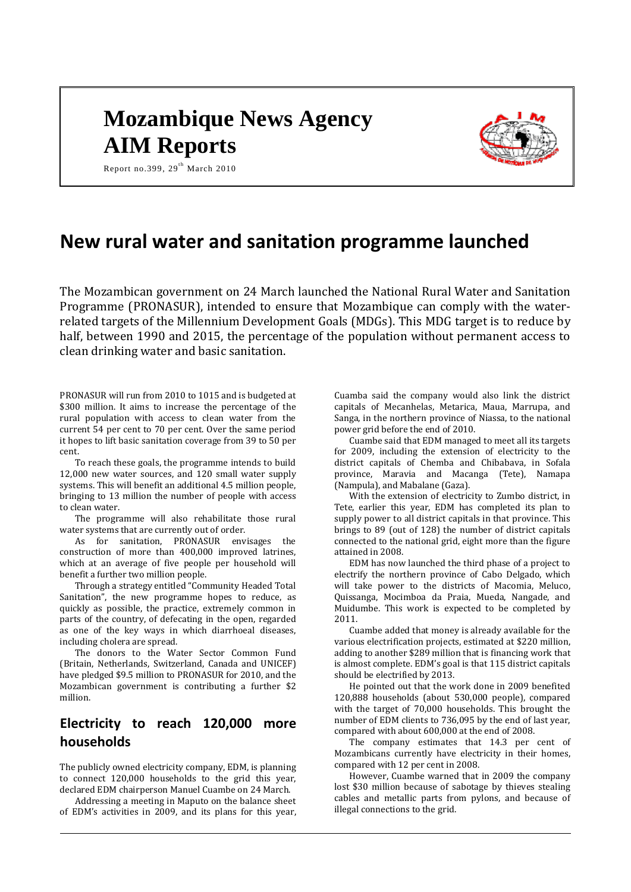# **Mozambique News Agency AIM Reports**



Report no.399,  $29<sup>th</sup>$  March 2010

## **New rural water and sanitation programme launched**

The Mozambican government on 24 March launched the National Rural Water and Sanitation Programme (PRONASUR), intended to ensure that Mozambique can comply with the waterrelated targets of the Millennium Development Goals (MDGs). This MDG target is to reduce by half, between 1990 and 2015, the percentage of the population without permanent access to clean drinking water and basic sanitation.

PRONASUR will run from 2010 to 1015 and is budgeted at \$300 million. It aims to increase the percentage of the rural population with access to clean water from the current 54 per cent to 70 per cent. Over the same period it hopes to lift basic sanitation coverage from 39 to 50 per cent.

To reach these goals, the programme intends to build 12,000 new water sources, and 120 small water supply systems. This will benefit an additional 4.5 million people, bringing to 13 million the number of people with access to clean water.

The programme will also rehabilitate those rural water systems that are currently out of order.

As for sanitation, PRONASUR envisages the construction of more than 400,000 improved latrines, which at an average of five people per household will benefit a further two million people.

Through a strategy entitled "Community Headed Total Sanitation", the new programme hopes to reduce, as quickly as possible, the practice, extremely common in parts of the country, of defecating in the open, regarded as one of the key ways in which diarrhoeal diseases, including cholera are spread.

The donors to the Water Sector Common Fund (Britain, Netherlands, Switzerland, Canada and UNICEF) have pledged \$9.5 million to PRONASUR for 2010, and the Mozambican government is contributing a further \$2 million.

## **Electricity to reach 120,000 more households**

The publicly owned electricity company, EDM, is planning to connect 120,000 households to the grid this year, declared EDM chairperson Manuel Cuambe on 24 March.

Addressing a meeting in Maputo on the balance sheet of EDM's activities in 2009, and its plans for this year, Cuamba said the company would also link the district capitals of Mecanhelas, Metarica, Maua, Marrupa, and Sanga, in the northern province of Niassa, to the national power grid before the end of 2010.

Cuambe said that EDM managed to meet all its targets for 2009, including the extension of electricity to the district capitals of Chemba and Chibabava, in Sofala province, Maravia and Macanga (Tete), Namapa (Nampula), and Mabalane (Gaza).

With the extension of electricity to Zumbo district, in Tete, earlier this year, EDM has completed its plan to supply power to all district capitals in that province. This brings to 89 (out of 128) the number of district capitals connected to the national grid, eight more than the figure attained in 2008.

EDM has now launched the third phase of a project to electrify the northern province of Cabo Delgado, which will take power to the districts of Macomia, Meluco, Quissanga, Mocimboa da Praia, Mueda, Nangade, and Muidumbe. This work is expected to be completed by 2011.

Cuambe added that money is already available for the various electrification projects, estimated at \$220 million, adding to another \$289 million that is financing work that is almost complete. EDM's goal is that 115 district capitals should be electrified by 2013.

He pointed out that the work done in 2009 benefited 120,888 households (about 530,000 people), compared with the target of 70,000 households. This brought the number of EDM clients to 736,095 by the end of last year, compared with about 600,000 at the end of 2008.

The company estimates that 14.3 per cent of Mozambicans currently have electricity in their homes, compared with 12 per cent in 2008.

However, Cuambe warned that in 2009 the company lost \$30 million because of sabotage by thieves stealing cables and metallic parts from pylons, and because of illegal connections to the grid.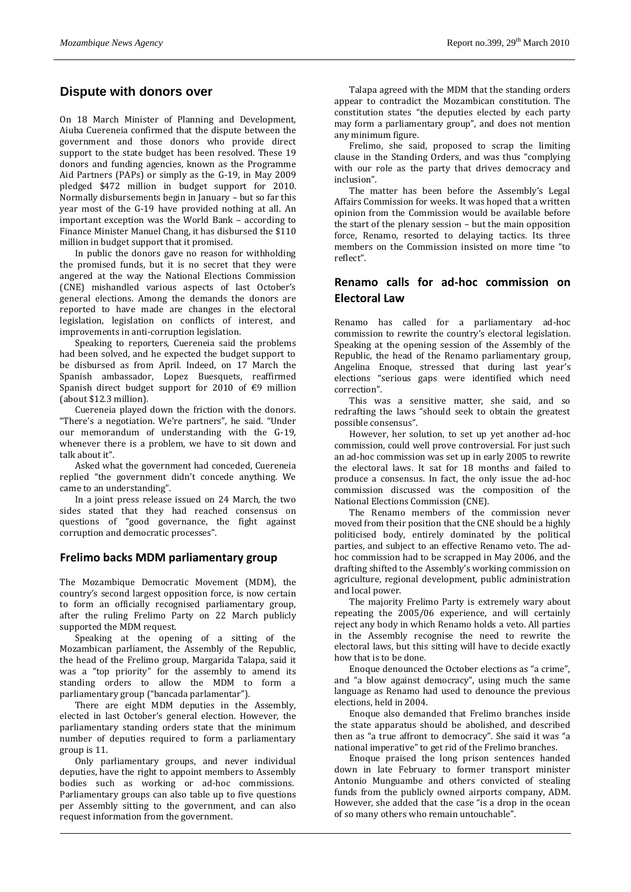## **Dispute with donors over**

On 18 March Minister of Planning and Development, Aiuba Cuereneia confirmed that the dispute between the government and those donors who provide direct support to the state budget has been resolved. These 19 donors and funding agencies, known as the Programme Aid Partners (PAPs) or simply as the G-19, in May 2009 pledged \$472 million in budget support for 2010. Normally disbursements begin in January – but so far this year most of the G-19 have provided nothing at all. An important exception was the World Bank – according to Finance Minister Manuel Chang, it has disbursed the \$110 million in budget support that it promised.

In public the donors gave no reason for withholding the promised funds, but it is no secret that they were angered at the way the National Elections Commission (CNE) mishandled various aspects of last October's general elections. Among the demands the donors are reported to have made are changes in the electoral legislation, legislation on conflicts of interest, and improvements in anti-corruption legislation.

Speaking to reporters, Cuereneia said the problems had been solved, and he expected the budget support to be disbursed as from April. Indeed, on 17 March the Spanish ambassador, Lopez Buesquets, reaffirmed Spanish direct budget support for 2010 of €9 million (about \$12.3 million).

Cuereneia played down the friction with the donors. "There's a negotiation. We're partners", he said. "Under our memorandum of understanding with the G-19, whenever there is a problem, we have to sit down and talk about it".

Asked what the government had conceded, Cuereneia replied "the government didn't concede anything. We came to an understanding".

In a joint press release issued on 24 March, the two sides stated that they had reached consensus on questions of "good governance, the fight against corruption and democratic processes".

#### **Frelimo backs MDM parliamentary group**

The Mozambique Democratic Movement (MDM), the country's second largest opposition force, is now certain to form an officially recognised parliamentary group, after the ruling Frelimo Party on 22 March publicly supported the MDM request.

Speaking at the opening of a sitting of the Mozambican parliament, the Assembly of the Republic, the head of the Frelimo group, Margarida Talapa, said it was a "top priority" for the assembly to amend its standing orders to allow the MDM to form a parliamentary group ("bancada parlamentar").

There are eight MDM deputies in the Assembly, elected in last October's general election. However, the parliamentary standing orders state that the minimum number of deputies required to form a parliamentary group is 11.

Only parliamentary groups, and never individual deputies, have the right to appoint members to Assembly bodies such as working or ad-hoc commissions. Parliamentary groups can also table up to five questions per Assembly sitting to the government, and can also request information from the government.

Talapa agreed with the MDM that the standing orders appear to contradict the Mozambican constitution. The constitution states "the deputies elected by each party may form a parliamentary group", and does not mention any minimum figure.

Frelimo, she said, proposed to scrap the limiting clause in the Standing Orders, and was thus "complying with our role as the party that drives democracy and inclusion".

The matter has been before the Assembly's Legal Affairs Commission for weeks. It was hoped that a written opinion from the Commission would be available before the start of the plenary session – but the main opposition force, Renamo, resorted to delaying tactics. Its three members on the Commission insisted on more time "to reflect".

## **Renamo calls for ad-hoc commission on Electoral Law**

Renamo has called for a parliamentary ad-hoc commission to rewrite the country's electoral legislation. Speaking at the opening session of the Assembly of the Republic, the head of the Renamo parliamentary group, Angelina Enoque, stressed that during last year's elections "serious gaps were identified which need correction".

This was a sensitive matter, she said, and so redrafting the laws "should seek to obtain the greatest possible consensus".

However, her solution, to set up yet another ad-hoc commission, could well prove controversial. For just such an ad-hoc commission was set up in early 2005 to rewrite the electoral laws. It sat for 18 months and failed to produce a consensus. In fact, the only issue the ad-hoc commission discussed was the composition of the National Elections Commission (CNE).

The Renamo members of the commission never moved from their position that the CNE should be a highly politicised body, entirely dominated by the political parties, and subject to an effective Renamo veto. The adhoc commission had to be scrapped in May 2006, and the drafting shifted to the Assembly's working commission on agriculture, regional development, public administration and local power.

The majority Frelimo Party is extremely wary about repeating the 2005/06 experience, and will certainly reject any body in which Renamo holds a veto. All parties in the Assembly recognise the need to rewrite the electoral laws, but this sitting will have to decide exactly how that is to be done.

Enoque denounced the October elections as "a crime", and "a blow against democracy", using much the same language as Renamo had used to denounce the previous elections, held in 2004.

Enoque also demanded that Frelimo branches inside the state apparatus should be abolished, and described then as "a true affront to democracy". She said it was "a national imperative" to get rid of the Frelimo branches.

Enoque praised the long prison sentences handed down in late February to former transport minister Antonio Munguambe and others convicted of stealing funds from the publicly owned airports company, ADM. However, she added that the case "is a drop in the ocean of so many others who remain untouchable".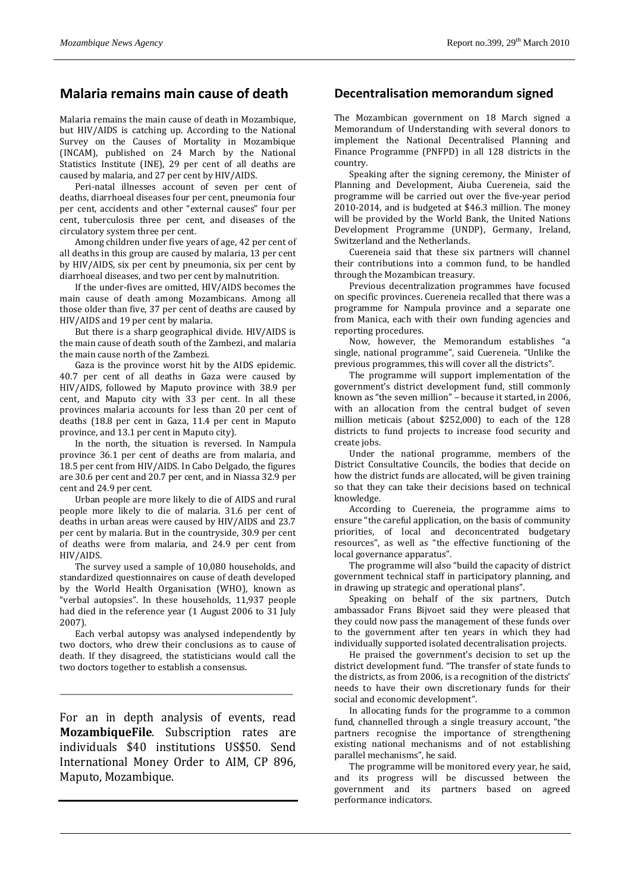## **Malaria remains main cause of death**

Malaria remains the main cause of death in Mozambique, but HIV/AIDS is catching up. According to the National Survey on the Causes of Mortality in Mozambique (INCAM), published on 24 March by the National Statistics Institute (INE), 29 per cent of all deaths are caused by malaria, and 27 per cent by HIV/AIDS.

Peri-natal illnesses account of seven per cent of deaths, diarrhoeal diseases four per cent, pneumonia four per cent, accidents and other "external causes" four per cent, tuberculosis three per cent, and diseases of the circulatory system three per cent.

Among children under five years of age, 42 per cent of all deaths in this group are caused by malaria, 13 per cent by HIV/AIDS, six per cent by pneumonia, six per cent by diarrhoeal diseases, and two per cent by malnutrition.

If the under-fives are omitted, HIV/AIDS becomes the main cause of death among Mozambicans. Among all those older than five, 37 per cent of deaths are caused by HIV/AIDS and 19 per cent by malaria.

But there is a sharp geographical divide. HIV/AIDS is the main cause of death south of the Zambezi, and malaria the main cause north of the Zambezi.

Gaza is the province worst hit by the AIDS epidemic. 40.7 per cent of all deaths in Gaza were caused by HIV/AIDS, followed by Maputo province with 38.9 per cent, and Maputo city with 33 per cent. In all these provinces malaria accounts for less than 20 per cent of deaths (18.8 per cent in Gaza, 11.4 per cent in Maputo province, and 13.1 per cent in Maputo city).

In the north, the situation is reversed. In Nampula province 36.1 per cent of deaths are from malaria, and 18.5 per cent from HIV/AIDS. In Cabo Delgado, the figures are 30.6 per cent and 20.7 per cent, and in Niassa 32.9 per cent and 24.9 per cent.

Urban people are more likely to die of AIDS and rural people more likely to die of malaria. 31.6 per cent of deaths in urban areas were caused by HIV/AIDS and 23.7 per cent by malaria. But in the countryside, 30.9 per cent of deaths were from malaria, and 24.9 per cent from HIV/AIDS.

The survey used a sample of 10,080 households, and standardized questionnaires on cause of death developed by the World Health Organisation (WHO), known as "verbal autopsies". In these households, 11,937 people had died in the reference year (1 August 2006 to 31 July 2007).

Each verbal autopsy was analysed independently by two doctors, who drew their conclusions as to cause of death. If they disagreed, the statisticians would call the two doctors together to establish a consensus.

\_\_\_\_\_\_\_\_\_\_\_\_\_\_\_\_\_\_\_\_\_\_\_\_\_\_\_\_\_\_\_\_\_\_\_\_\_\_\_\_\_\_\_\_

For an in depth analysis of events, read **MozambiqueFile**. Subscription rates are individuals \$40 institutions US\$50. Send International Money Order to AIM, CP 896, Maputo, Mozambique.

## **Decentralisation memorandum signed**

The Mozambican government on 18 March signed a Memorandum of Understanding with several donors to implement the National Decentralised Planning and Finance Programme (PNFPD) in all 128 districts in the country.

Speaking after the signing ceremony, the Minister of Planning and Development, Aiuba Cuereneia, said the programme will be carried out over the five-year period 2010-2014, and is budgeted at \$46.3 million. The money will be provided by the World Bank, the United Nations Development Programme (UNDP), Germany, Ireland, Switzerland and the Netherlands.

Cuereneia said that these six partners will channel their contributions into a common fund, to be handled through the Mozambican treasury.

Previous decentralization programmes have focused on specific provinces. Cuereneia recalled that there was a programme for Nampula province and a separate one from Manica, each with their own funding agencies and reporting procedures.

Now, however, the Memorandum establishes "a single, national programme", said Cuereneia. "Unlike the previous programmes, this will cover all the districts".

The programme will support implementation of the government's district development fund, still commonly known as "the seven million" – because it started, in 2006, with an allocation from the central budget of seven million meticais (about \$252,000) to each of the 128 districts to fund projects to increase food security and create jobs.

Under the national programme, members of the District Consultative Councils, the bodies that decide on how the district funds are allocated, will be given training so that they can take their decisions based on technical knowledge.

According to Cuereneia, the programme aims to ensure "the careful application, on the basis of community priorities, of local and deconcentrated budgetary resources", as well as "the effective functioning of the local governance apparatus".

The programme will also "build the capacity of district government technical staff in participatory planning, and in drawing up strategic and operational plans".

Speaking on behalf of the six partners, Dutch ambassador Frans Bijvoet said they were pleased that they could now pass the management of these funds over to the government after ten years in which they had individually supported isolated decentralisation projects.

He praised the government's decision to set up the district development fund. "The transfer of state funds to the districts, as from 2006, is a recognition of the districts' needs to have their own discretionary funds for their social and economic development".

In allocating funds for the programme to a common fund, channelled through a single treasury account, "the partners recognise the importance of strengthening existing national mechanisms and of not establishing parallel mechanisms", he said.

The programme will be monitored every year, he said, and its progress will be discussed between the government and its partners based on agreed performance indicators.